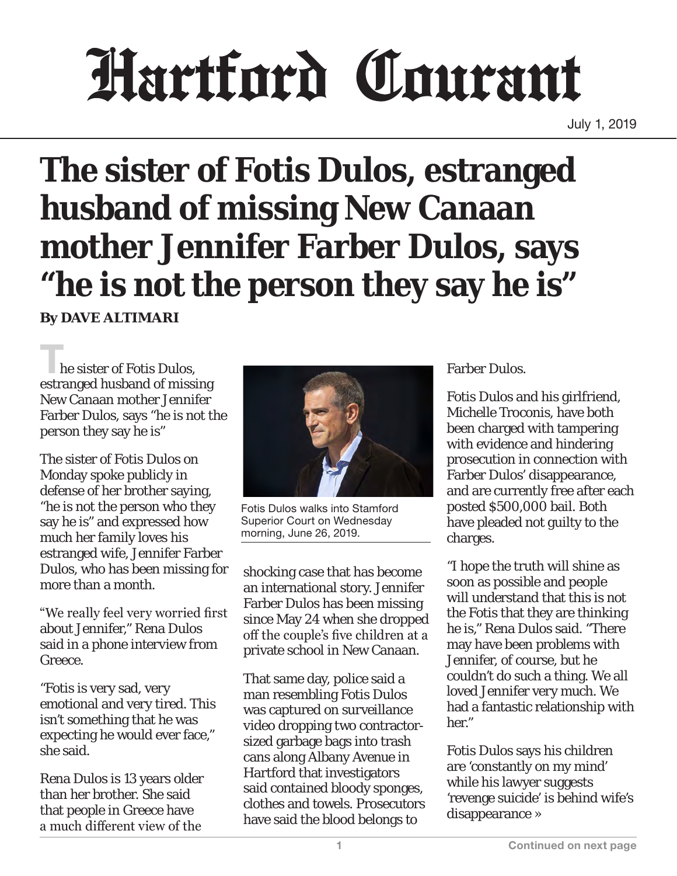## Hartford Courant

July 1, 2019

## **The sister of Fotis Dulos, estranged husband of missing New Canaan mother Jennifer Farber Dulos, says "he is not the person they say he is"**

**By DAVE ALTIMARI**

**The sister of Fotis Dulos,** estranged husband of missing New Canaan mother Jennifer Farber Dulos, says "he is not the person they say he is"

The sister of Fotis Dulos on Monday spoke publicly in defense of her brother saying, "he is not the person who they say he is" and expressed how much her family loves his estranged wife, Jennifer Farber Dulos, who has been missing for more than a month.

"We really feel very worried first about Jennifer," Rena Dulos said in a phone interview from Greece.

"Fotis is very sad, very emotional and very tired. This isn't something that he was expecting he would ever face," she said.

Rena Dulos is 13 years older than her brother. She said that people in Greece have a much different view of the



Fotis Dulos walks into Stamford Superior Court on Wednesday morning, June 26, 2019.

shocking case that has become an international story. Jennifer Farber Dulos has been missing since May 24 when she dropped off the couple's five children at a private school in New Canaan.

That same day, police said a man resembling Fotis Dulos was captured on surveillance video dropping two contractorsized garbage bags into trash cans along Albany Avenue in Hartford that investigators said contained bloody sponges, clothes and towels. Prosecutors have said the blood belongs to

Farber Dulos.

Fotis Dulos and his girlfriend, Michelle Troconis, have both been charged with tampering with evidence and hindering prosecution in connection with Farber Dulos' disappearance, and are currently free after each posted \$500,000 bail. Both have pleaded not guilty to the charges.

"I hope the truth will shine as soon as possible and people will understand that this is not the Fotis that they are thinking he is," Rena Dulos said. "There may have been problems with Jennifer, of course, but he couldn't do such a thing. We all loved Jennifer very much. We had a fantastic relationship with her."

Fotis Dulos says his children are 'constantly on my mind' while his lawyer suggests 'revenge suicide' is behind wife's disappearance »